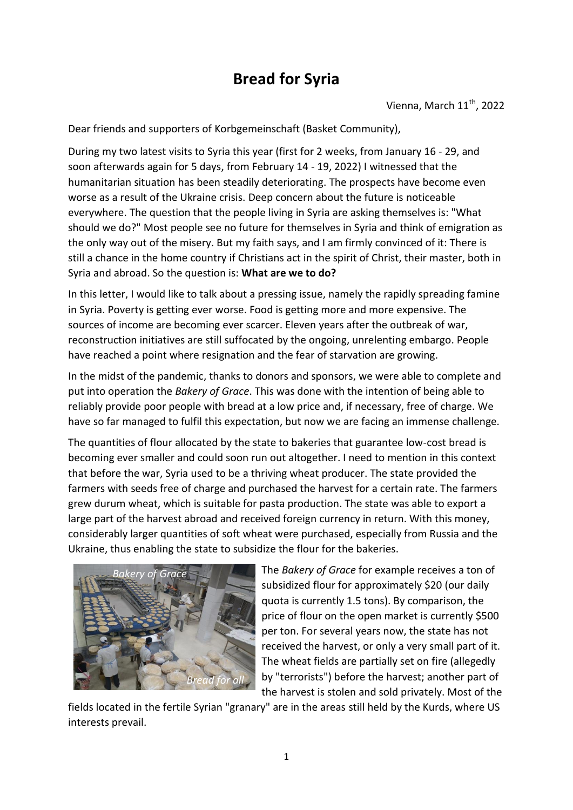## **Bread for Syria**

Vienna, March  $11<sup>th</sup>$ , 2022

Dear friends and supporters of Korbgemeinschaft (Basket Community),

During my two latest visits to Syria this year (first for 2 weeks, from January 16 - 29, and soon afterwards again for 5 days, from February 14 - 19, 2022) I witnessed that the humanitarian situation has been steadily deteriorating. The prospects have become even worse as a result of the Ukraine crisis. Deep concern about the future is noticeable everywhere. The question that the people living in Syria are asking themselves is: "What should we do?" Most people see no future for themselves in Syria and think of emigration as the only way out of the misery. But my faith says, and I am firmly convinced of it: There is still a chance in the home country if Christians act in the spirit of Christ, their master, both in Syria and abroad. So the question is: **What are we to do?** 

In this letter, I would like to talk about a pressing issue, namely the rapidly spreading famine in Syria. Poverty is getting ever worse. Food is getting more and more expensive. The sources of income are becoming ever scarcer. Eleven years after the outbreak of war, reconstruction initiatives are still suffocated by the ongoing, unrelenting embargo. People have reached a point where resignation and the fear of starvation are growing.

In the midst of the pandemic, thanks to donors and sponsors, we were able to complete and put into operation the *Bakery of Grace*. This was done with the intention of being able to reliably provide poor people with bread at a low price and, if necessary, free of charge. We have so far managed to fulfil this expectation, but now we are facing an immense challenge.

The quantities of flour allocated by the state to bakeries that guarantee low-cost bread is becoming ever smaller and could soon run out altogether. I need to mention in this context that before the war, Syria used to be a thriving wheat producer. The state provided the farmers with seeds free of charge and purchased the harvest for a certain rate. The farmers grew durum wheat, which is suitable for pasta production. The state was able to export a large part of the harvest abroad and received foreign currency in return. With this money, considerably larger quantities of soft wheat were purchased, especially from Russia and the Ukraine, thus enabling the state to subsidize the flour for the bakeries.



The *Bakery of Grace* for example receives a ton of subsidized flour for approximately \$20 (our daily quota is currently 1.5 tons). By comparison, the price of flour on the open market is currently \$500 per ton. For several years now, the state has not received the harvest, or only a very small part of it. The wheat fields are partially set on fire (allegedly by "terrorists") before the harvest; another part of the harvest is stolen and sold privately. Most of the

fields located in the fertile Syrian "granary" are in the areas still held by the Kurds, where US interests prevail.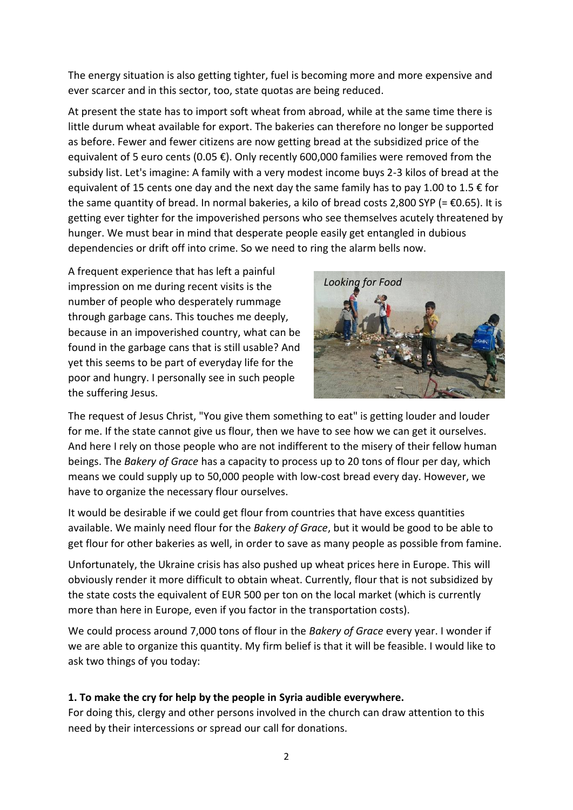The energy situation is also getting tighter, fuel is becoming more and more expensive and ever scarcer and in this sector, too, state quotas are being reduced.

At present the state has to import soft wheat from abroad, while at the same time there is little durum wheat available for export. The bakeries can therefore no longer be supported as before. Fewer and fewer citizens are now getting bread at the subsidized price of the equivalent of 5 euro cents (0.05 €). Only recently 600,000 families were removed from the subsidy list. Let's imagine: A family with a very modest income buys 2-3 kilos of bread at the equivalent of 15 cents one day and the next day the same family has to pay 1.00 to 1.5  $\epsilon$  for the same quantity of bread. In normal bakeries, a kilo of bread costs 2,800 SYP (=  $\epsilon$ 0.65). It is getting ever tighter for the impoverished persons who see themselves acutely threatened by hunger. We must bear in mind that desperate people easily get entangled in dubious dependencies or drift off into crime. So we need to ring the alarm bells now.

A frequent experience that has left a painful impression on me during recent visits is the number of people who desperately rummage through garbage cans. This touches me deeply, because in an impoverished country, what can be found in the garbage cans that is still usable? And yet this seems to be part of everyday life for the poor and hungry. I personally see in such people the suffering Jesus.



The request of Jesus Christ, "You give them something to eat" is getting louder and louder for me. If the state cannot give us flour, then we have to see how we can get it ourselves. And here I rely on those people who are not indifferent to the misery of their fellow human beings. The *Bakery of Grace* has a capacity to process up to 20 tons of flour per day, which means we could supply up to 50,000 people with low-cost bread every day. However, we have to organize the necessary flour ourselves.

It would be desirable if we could get flour from countries that have excess quantities available. We mainly need flour for the *Bakery of Grace*, but it would be good to be able to get flour for other bakeries as well, in order to save as many people as possible from famine.

Unfortunately, the Ukraine crisis has also pushed up wheat prices here in Europe. This will obviously render it more difficult to obtain wheat. Currently, flour that is not subsidized by the state costs the equivalent of EUR 500 per ton on the local market (which is currently more than here in Europe, even if you factor in the transportation costs).

We could process around 7,000 tons of flour in the *Bakery of Grace* every year. I wonder if we are able to organize this quantity. My firm belief is that it will be feasible. I would like to ask two things of you today:

## **1. To make the cry for help by the people in Syria audible everywhere.**

For doing this, clergy and other persons involved in the church can draw attention to this need by their intercessions or spread our call for donations.